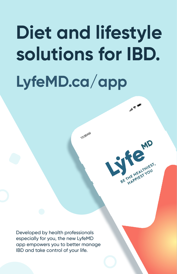# **Diet and lifestyle solutions for IBD. LyfeMD.ca/app**

10:30 AM

 $\mathbb{R}^{n}$ 

BE THE HEALTHIEST,

Developed by health professionals especially for you, the new LyfeMD app empowers you to better manage IBD and take control of your life.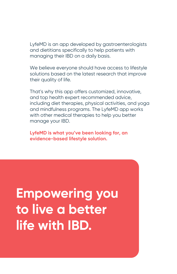LyfeMD is an app developed by gastroenterologists and dietitians specifically to help patients with managing their IBD on a daily basis.

We believe everyone should have access to lifestyle solutions based on the latest research that improve their quality of life.

That's why this app offers customized, innovative, and top health expert recommended advice, including diet therapies, physical activities, and yoga and mindfulness programs. The LyfeMD app works with other medical therapies to help you better manage your IBD.

**LyfeMD is what you've been looking for, an evidence-based lifestyle solution.**

# **Empowering you to live a better life with IBD.**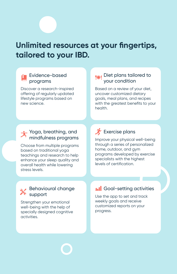# **Unlimited resources at your fingertips, tailored to your IBD.**

#### Evidence-based programs

Discover a research-inspired offering of regularly updated lifestyle programs based on new science.

#### Diet plans tailored to your condition

Based on a review of your diet, uncover customized dietary goals, meal plans, and recipes with the greatest benefits to your health.

#### Yoga, breathing, and mindfulness programs

Choose from multiple programs based on traditional yoga teachings and research to help enhance your sleep quality and overall health while lowering stress levels.

## **X** Exercise plans

Improve your physical well-being through a series of personalized home, outdoor, and gym programs developed by exercise specialists with the highest levels of certification.

#### Behavioural change support

Strengthen your emotional well-being with the help of specially designed cognitive activities.

### **In Coal-setting activities**

Use the app to set and track weekly goals and receive customized reports on your progress.